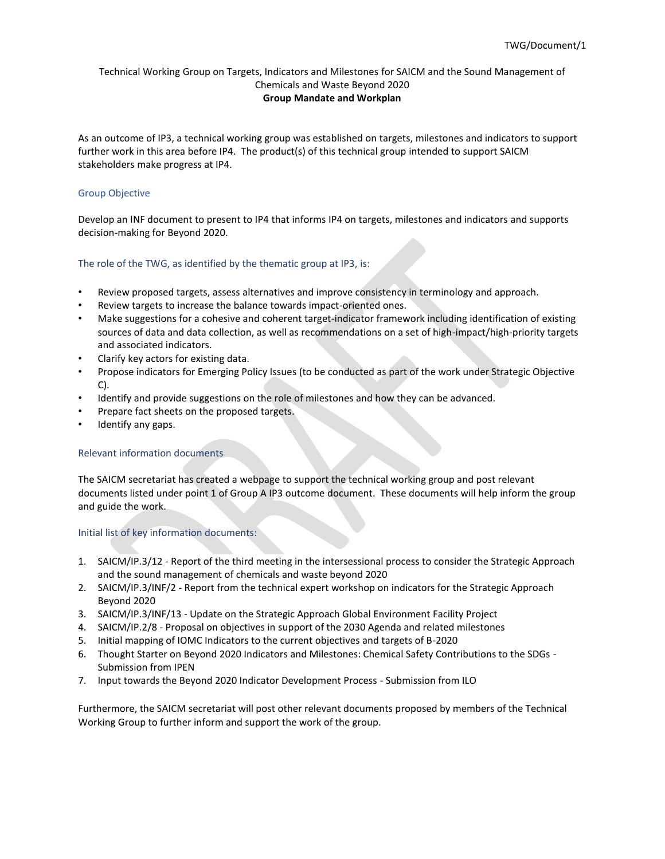As an outcome of IP3, a technical working group was established on targets, milestones and indicators to support further work in this area before IP4. The product(s) of this technical group intended to support SAICM stakeholders make progress at IP4.

### Group Objective

Develop an INF document to present to IP4 that informs IP4 on targets, milestones and indicators and supports decision-making for Beyond 2020.

### The role of the TWG, as identified by the thematic group at IP3, is:

- Review proposed targets, assess alternatives and improve consistency in terminology and approach.
- Review targets to increase the balance towards impact-oriented ones.
- Make suggestions for a cohesive and coherent target-indicator framework including identification of existing sources of data and data collection, as well as recommendations on a set of high-impact/high-priority targets and associated indicators.
- Clarify key actors for existing data.
- Propose indicators for Emerging Policy Issues (to be conducted as part of the work under Strategic Objective C).
- Identify and provide suggestions on the role of milestones and how they can be advanced.
- Prepare fact sheets on the proposed targets.
- Identify any gaps.

### Relevant information documents

The SAICM secretariat has created a webpage to support the technical working group and post relevant documents listed under point 1 of Group A IP3 outcome document. These documents will help inform the group and guide the work.

#### Initial list of key information documents:

- 1. [SAICM/IP.3/12](http://saicm.org/Portals/12/documents/meetings/IP3/Docs/SAICM_IP3_12_Meeting_Report.pdf) Report of the third meeting in the intersessional process to consider the Strategic Approach and the sound management of chemicals and waste beyond 2020
- 2. [SAICM/IP.3/INF/2](http://saicm.org/Portals/12/documents/meetings/IP3/INF/SAICM_IP3_INF_2_Report_indicator-workshop.pdf) Report from the technical expert workshop on indicators for the Strategic Approach Beyond 2020
- 3. [SAICM/IP.3/INF/13](http://saicm.org/Portals/12/documents/meetings/IP3/INF/SAICM_IP3_INF13_Update_GEF-projects.pdf) Update on the Strategic Approach Global Environment Facility Project
- 4. [SAICM/IP.2/8](http://saicm.org/Portals/12/Documents/meetings/IP2/IP_2_8_OBJECTIVES-and-SDG.pdf) Proposal on objectives in support of the 2030 Agenda and related milestones
- 5. [Initial mapping of IOMC Indicators to the current objectives and targets of B-2020](http://saicm.org/Portals/12/documents/meetings/IP3/stakeholders/OECD-REV_for_use_in_contact%20group_IOMC_indicators.pdf)
- 6. [Thought Starter on Beyond 2020 Indicators and Milestones: Chemical Safety Contributions to the SDGs](http://saicm.org/Portals/12/documents/meetings/IP3/stakeholders/IPEN-Thought-Starter-on-Beyond-2020-Indicators.pdf) Submission from IPEN
- 7. [Input towards the Beyond 2020 Indicator Development Process](http://saicm.org/Portals/12/documents/meetings/IP3/stakeholders/ILO_InputBeyond2020IndicatorDevelopment_r1.pdf) Submission from ILO

Furthermore, the SAICM secretariat will post other relevant documents proposed by members of the Technical Working Group to further inform and support the work of the group.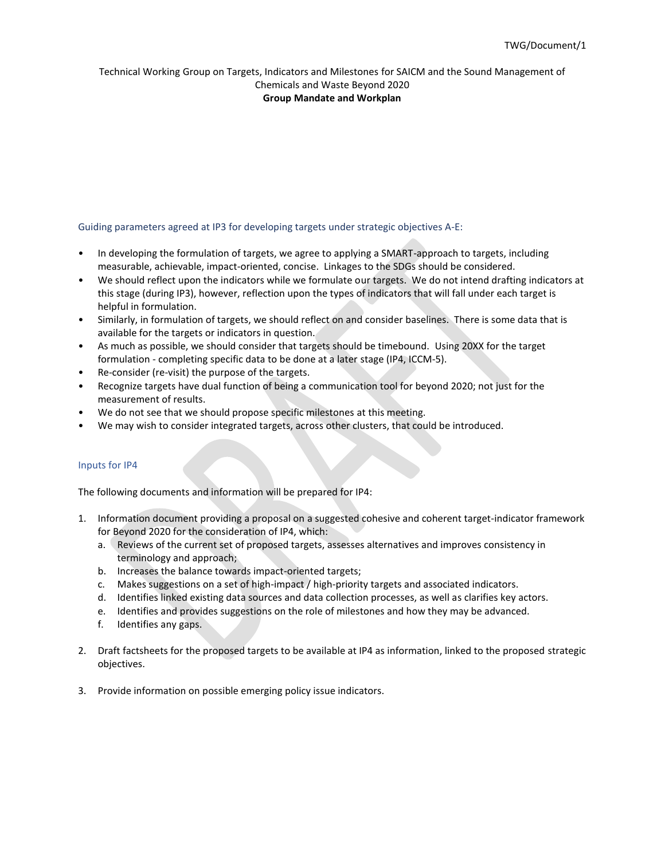## Technical Working Group on Targets, Indicators and Milestones for SAICM and the Sound Management of

#### Chemicals and Waste Beyond 2020 **Group Mandate and Workplan**

### Guiding parameters agreed at IP3 for developing targets under strategic objectives A-E:

- In developing the formulation of targets, we agree to applying a SMART-approach to targets, including measurable, achievable, impact-oriented, concise. Linkages to the SDGs should be considered.
- We should reflect upon the indicators while we formulate our targets. We do not intend drafting indicators at this stage (during IP3), however, reflection upon the types of indicators that will fall under each target is helpful in formulation.
- Similarly, in formulation of targets, we should reflect on and consider baselines. There is some data that is available for the targets or indicators in question.
- As much as possible, we should consider that targets should be timebound. Using 20XX for the target formulation - completing specific data to be done at a later stage (IP4, ICCM-5).
- Re-consider (re-visit) the purpose of the targets.
- Recognize targets have dual function of being a communication tool for beyond 2020; not just for the measurement of results.
- We do not see that we should propose specific milestones at this meeting.
- We may wish to consider integrated targets, across other clusters, that could be introduced.

#### Inputs for IP4

The following documents and information will be prepared for IP4:

- 1. Information document providing a proposal on a suggested cohesive and coherent target-indicator framework for Beyond 2020 for the consideration of IP4, which:
	- a. Reviews of the current set of proposed targets, assesses alternatives and improves consistency in terminology and approach;
	- b. Increases the balance towards impact-oriented targets;
	- c. Makes suggestions on a set of high-impact / high-priority targets and associated indicators.
	- d. Identifies linked existing data sources and data collection processes, as well as clarifies key actors.
	- e. Identifies and provides suggestions on the role of milestones and how they may be advanced.
	- f. Identifies any gaps.
- 2. Draft factsheets for the proposed targets to be available at IP4 as information, linked to the proposed strategic objectives.
- 3. Provide information on possible emerging policy issue indicators.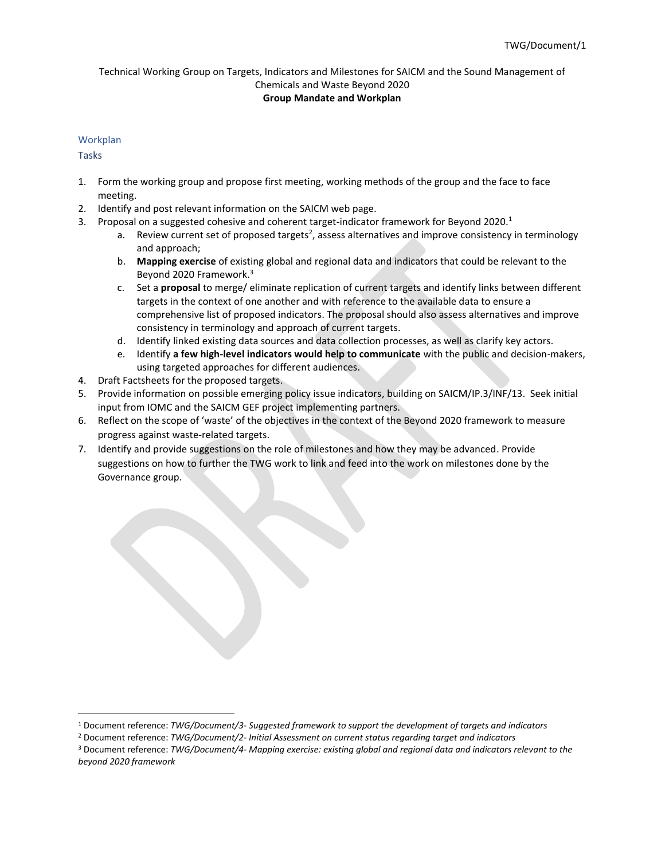### Workplan

Tasks

- 1. Form the working group and propose first meeting, working methods of the group and the face to face meeting.
- 2. Identify and post relevant information on the SAICM web page.
- 3. Proposal on a suggested cohesive and coherent target-indicator framework for Beyond 2020.<sup>1</sup>
	- a. Review current set of proposed targets<sup>2</sup>, assess alternatives and improve consistency in terminology and approach;
	- b. **Mapping exercise** of existing global and regional data and indicators that could be relevant to the Beyond 2020 Framework. 3
	- c. Set a **proposal** to merge/ eliminate replication of current targets and identify links between different targets in the context of one another and with reference to the available data to ensure a comprehensive list of proposed indicators. The proposal should also assess alternatives and improve consistency in terminology and approach of current targets.
	- d. Identify linked existing data sources and data collection processes, as well as clarify key actors.
	- e. Identify **a few high-level indicators would help to communicate** with the public and decision-makers, using targeted approaches for different audiences.
- 4. Draft Factsheets for the proposed targets.
- 5. Provide information on possible emerging policy issue indicators, building on SAICM/IP.3/INF/13. Seek initial input from IOMC and the SAICM GEF project implementing partners.
- 6. Reflect on the scope of 'waste' of the objectives in the context of the Beyond 2020 framework to measure progress against waste-related targets.
- 7. Identify and provide suggestions on the role of milestones and how they may be advanced. Provide suggestions on how to further the TWG work to link and feed into the work on milestones done by the Governance group.

<sup>1</sup> Document reference: *TWG/Document/3- Suggested framework to support the development of targets and indicators*

<sup>2</sup> Document reference: *TWG/Document/2- Initial Assessment on current status regarding target and indicators*

<sup>3</sup> Document reference: *TWG/Document/4- Mapping exercise: existing global and regional data and indicators relevant to the beyond 2020 framework*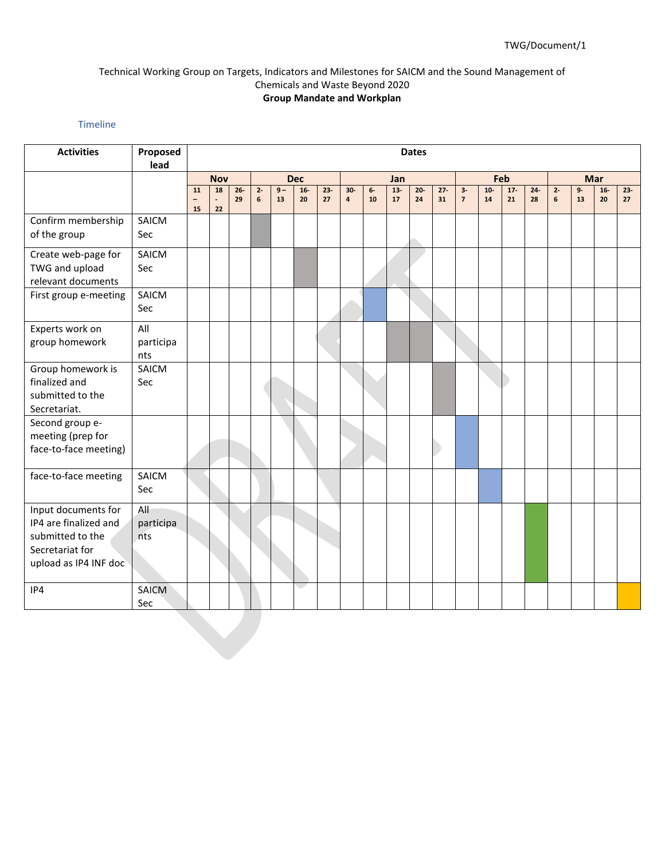### Timeline

| <b>Activities</b>                                                                                            | Proposed<br>lead        |                               | <b>Dates</b>               |              |            |             |             |              |                         |                  |             |             |              |                        |             |              |              |            |            |             |              |
|--------------------------------------------------------------------------------------------------------------|-------------------------|-------------------------------|----------------------------|--------------|------------|-------------|-------------|--------------|-------------------------|------------------|-------------|-------------|--------------|------------------------|-------------|--------------|--------------|------------|------------|-------------|--------------|
|                                                                                                              |                         | <b>Dec</b><br><b>Nov</b>      |                            | Jan          |            |             | Feb         |              |                         | Mar              |             |             |              |                        |             |              |              |            |            |             |              |
|                                                                                                              |                         | 11<br>$\qquad \qquad -$<br>15 | 18<br>$\blacksquare$<br>22 | $26 -$<br>29 | $2 -$<br>6 | $9 -$<br>13 | $16-$<br>20 | $23 -$<br>27 | $30-$<br>$\overline{4}$ | 6-<br>${\bf 10}$ | $13-$<br>17 | $20-$<br>24 | $27 -$<br>31 | $3-$<br>$\overline{7}$ | $10-$<br>14 | $17 -$<br>21 | $24 -$<br>28 | $2 -$<br>6 | $9-$<br>13 | $16-$<br>20 | $23 -$<br>27 |
| Confirm membership<br>of the group                                                                           | SAICM<br>Sec            |                               |                            |              |            |             |             |              |                         |                  |             |             |              |                        |             |              |              |            |            |             |              |
| Create web-page for<br>TWG and upload<br>relevant documents                                                  | SAICM<br>Sec            |                               |                            |              |            |             |             |              |                         |                  |             |             |              |                        |             |              |              |            |            |             |              |
| First group e-meeting                                                                                        | SAICM<br>Sec            |                               |                            |              |            |             |             |              |                         |                  |             |             |              |                        |             |              |              |            |            |             |              |
| Experts work on<br>group homework                                                                            | All<br>participa<br>nts |                               |                            |              |            |             |             |              |                         |                  |             |             |              |                        |             |              |              |            |            |             |              |
| Group homework is<br>finalized and<br>submitted to the<br>Secretariat.                                       | SAICM<br>Sec            |                               |                            |              |            |             |             |              |                         |                  |             |             |              |                        |             |              |              |            |            |             |              |
| Second group e-<br>meeting (prep for<br>face-to-face meeting)                                                |                         |                               |                            |              |            |             |             |              |                         |                  |             |             |              |                        |             |              |              |            |            |             |              |
| face-to-face meeting                                                                                         | SAICM<br>Sec            |                               |                            |              |            |             |             |              |                         |                  |             |             |              |                        |             |              |              |            |            |             |              |
| Input documents for<br>IP4 are finalized and<br>submitted to the<br>Secretariat for<br>upload as IP4 INF doc | All<br>participa<br>nts |                               |                            |              |            |             |             |              |                         |                  |             |             |              |                        |             |              |              |            |            |             |              |
| IP4                                                                                                          | SAICM<br>Sec            |                               |                            |              |            |             |             |              |                         |                  |             |             |              |                        |             |              |              |            |            |             |              |
|                                                                                                              |                         |                               |                            |              |            |             |             |              |                         |                  |             |             |              |                        |             |              |              |            |            |             |              |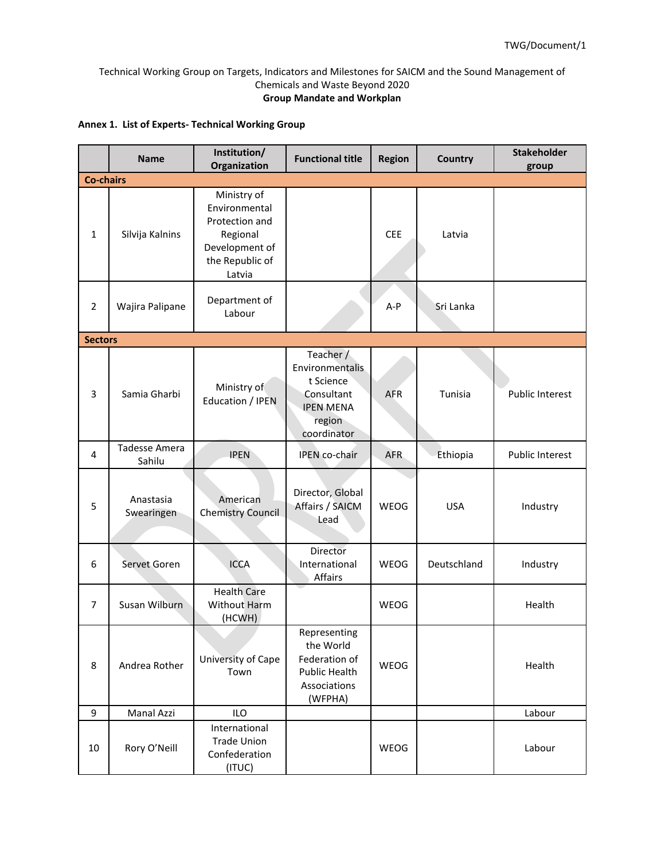## **Annex 1. List of Experts- Technical Working Group**

|                  | <b>Name</b>             | Institution/<br>Organization                                                                              | <b>Functional title</b>                                                                              | <b>Region</b> | Country     | <b>Stakeholder</b><br>group |
|------------------|-------------------------|-----------------------------------------------------------------------------------------------------------|------------------------------------------------------------------------------------------------------|---------------|-------------|-----------------------------|
| <b>Co-chairs</b> |                         |                                                                                                           |                                                                                                      |               |             |                             |
| 1                | Silvija Kalnins         | Ministry of<br>Environmental<br>Protection and<br>Regional<br>Development of<br>the Republic of<br>Latvia |                                                                                                      | <b>CEE</b>    | Latvia      |                             |
| $\overline{2}$   | Wajira Palipane         | Department of<br>Labour                                                                                   |                                                                                                      | $A-P$         | Sri Lanka   |                             |
| <b>Sectors</b>   |                         |                                                                                                           |                                                                                                      |               |             |                             |
| 3                | Samia Gharbi            | Ministry of<br><b>Education / IPEN</b>                                                                    | Teacher /<br>Environmentalis<br>t Science<br>Consultant<br><b>IPEN MENA</b><br>region<br>coordinator | AFR           | Tunisia     | <b>Public Interest</b>      |
| 4                | Tadesse Amera<br>Sahilu | <b>IPEN</b>                                                                                               | IPEN co-chair                                                                                        | AFR.          | Ethiopia    | <b>Public Interest</b>      |
| 5                | Anastasia<br>Swearingen | American<br><b>Chemistry Council</b>                                                                      | Director, Global<br>Affairs / SAICM<br>Lead                                                          | <b>WEOG</b>   | <b>USA</b>  | Industry                    |
| 6                | Servet Goren            | <b>ICCA</b>                                                                                               | Director<br>International<br>Affairs                                                                 | <b>WEOG</b>   | Deutschland | Industry                    |
| $\overline{7}$   | Susan Wilburn           | <b>Health Care</b><br><b>Without Harm</b><br>(HCWH)                                                       |                                                                                                      | WEOG          |             | Health                      |
| 8                | Andrea Rother           | University of Cape<br>Town                                                                                | Representing<br>the World<br>Federation of<br>Public Health<br>Associations<br>(WFPHA)               | WEOG          |             | Health                      |
| 9                | Manal Azzi              | <b>ILO</b>                                                                                                |                                                                                                      |               |             | Labour                      |
| 10               | Rory O'Neill            | International<br><b>Trade Union</b><br>Confederation<br>(ITUC)                                            |                                                                                                      | WEOG          |             | Labour                      |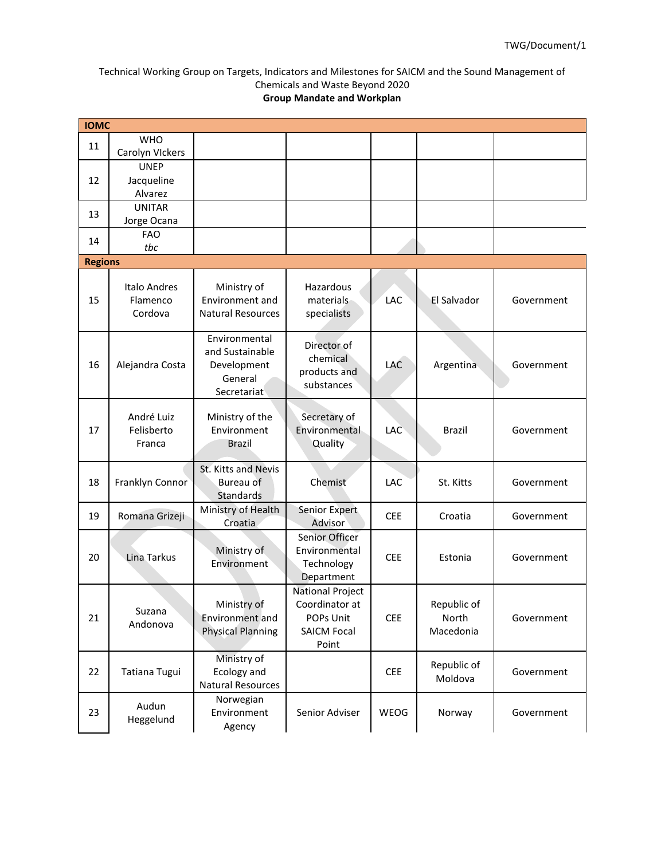| <b>IOMC</b>    |                                     |                                                                           |                                                                                       |            |                                   |            |
|----------------|-------------------------------------|---------------------------------------------------------------------------|---------------------------------------------------------------------------------------|------------|-----------------------------------|------------|
| 11             | <b>WHO</b>                          |                                                                           |                                                                                       |            |                                   |            |
|                | Carolyn VIckers                     |                                                                           |                                                                                       |            |                                   |            |
|                | <b>UNEP</b>                         |                                                                           |                                                                                       |            |                                   |            |
| 12             | Jacqueline                          |                                                                           |                                                                                       |            |                                   |            |
|                | Alvarez<br><b>UNITAR</b>            |                                                                           |                                                                                       |            |                                   |            |
| 13             | Jorge Ocana                         |                                                                           |                                                                                       |            |                                   |            |
|                | <b>FAO</b>                          |                                                                           |                                                                                       |            |                                   |            |
| 14             | tbc                                 |                                                                           |                                                                                       |            |                                   |            |
| <b>Regions</b> |                                     |                                                                           |                                                                                       |            |                                   |            |
| 15             | Italo Andres<br>Flamenco<br>Cordova | Ministry of<br>Environment and<br><b>Natural Resources</b>                | Hazardous<br>materials<br>specialists                                                 | LAC        | El Salvador                       | Government |
| 16             | Alejandra Costa                     | Environmental<br>and Sustainable<br>Development<br>General<br>Secretariat | Director of<br>chemical<br>products and<br>substances                                 | LAC        | Argentina                         | Government |
| 17             | André Luiz<br>Felisberto<br>Franca  | Ministry of the<br>Environment<br><b>Brazil</b>                           | Secretary of<br>Environmental<br>Quality                                              | LAC        | <b>Brazil</b>                     | Government |
| 18             | Franklyn Connor                     | St. Kitts and Nevis<br>Bureau of<br>Standards                             | Chemist                                                                               | <b>LAC</b> | St. Kitts                         | Government |
| 19             | Romana Grizeji                      | Ministry of Health<br>Croatia                                             | Senior Expert<br>Advisor                                                              | <b>CEE</b> | Croatia                           | Government |
| 20             | Lina Tarkus                         | Ministry of<br>Environment                                                | Senior Officer<br>Environmental<br>Technology<br>Department                           | <b>CEE</b> | Estonia                           | Government |
| 21             | Suzana<br>Andonova                  | Ministry of<br>Environment and<br><b>Physical Planning</b>                | <b>National Project</b><br>Coordinator at<br>POPs Unit<br><b>SAICM Focal</b><br>Point | <b>CEE</b> | Republic of<br>North<br>Macedonia | Government |
| 22             | Tatiana Tugui                       | Ministry of<br>Ecology and<br><b>Natural Resources</b>                    |                                                                                       | <b>CEE</b> | Republic of<br>Moldova            | Government |
| 23             | Audun<br>Heggelund                  | Norwegian<br>Environment<br>Agency                                        | Senior Adviser                                                                        | WEOG       | Norway                            | Government |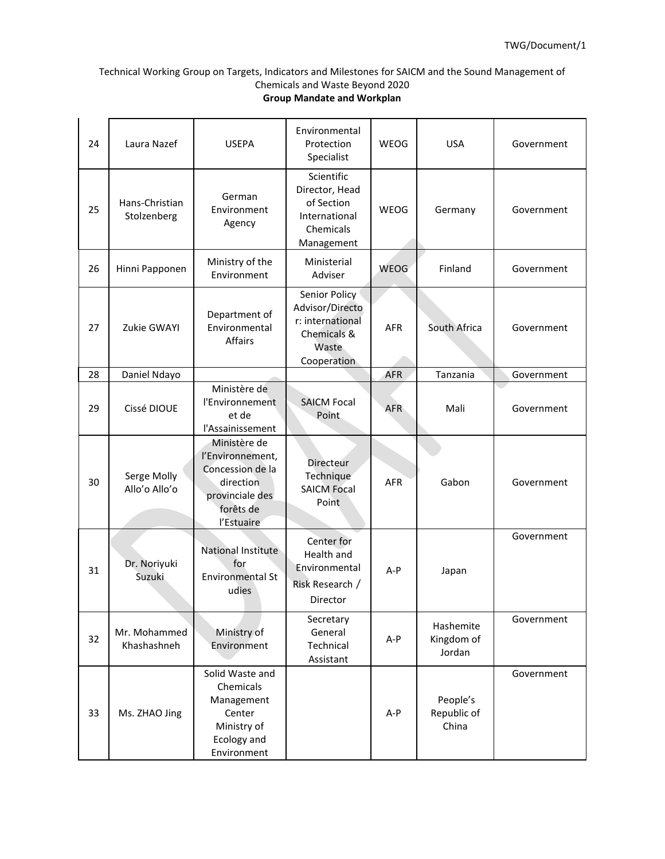| 24 | Laura Nazef                   | <b>USEPA</b>                                                                                                    | Environmental<br>Protection<br>Specialist                                                   | <b>WEOG</b> | <b>USA</b>                        | Government |
|----|-------------------------------|-----------------------------------------------------------------------------------------------------------------|---------------------------------------------------------------------------------------------|-------------|-----------------------------------|------------|
| 25 | Hans-Christian<br>Stolzenberg | German<br>Environment<br>Agency                                                                                 | Scientific<br>Director, Head<br>of Section<br>International<br>Chemicals<br>Management      | WEOG        | Germany                           | Government |
| 26 | Hinni Papponen                | Ministry of the<br>Environment                                                                                  | Ministerial<br>Adviser                                                                      | WEOG        | Finland                           | Government |
| 27 | Zukie GWAYI                   | Department of<br>Environmental<br>Affairs                                                                       | Senior Policy<br>Advisor/Directo<br>r: international<br>Chemicals &<br>Waste<br>Cooperation | <b>AFR</b>  | South Africa                      | Government |
| 28 | Daniel Ndayo                  |                                                                                                                 |                                                                                             | <b>AFR</b>  | Tanzania                          | Government |
| 29 | Cissé DIOUE                   | Ministère de<br>l'Environnement<br>et de<br>l'Assainissement                                                    | <b>SAICM Focal</b><br>Point                                                                 | <b>AFR</b>  | Mali                              | Government |
| 30 | Serge Molly<br>Allo'o Allo'o  | Ministère de<br>l'Environnement,<br>Concession de la<br>direction<br>provinciale des<br>forêts de<br>l'Estuaire | Directeur<br>Technique<br><b>SAICM Focal</b><br>Point                                       | <b>AFR</b>  | Gabon                             | Government |
| 31 | Dr. Noriyuki<br>Suzuki        | National Institute<br>for<br><b>Environmental St</b><br>udies                                                   | Center for<br>Health and<br>Environmental<br>Risk Research /<br>Director                    | $A-P$       | Japan                             | Government |
| 32 | Mr. Mohammed<br>Khashashneh   | Ministry of<br>Environment                                                                                      | Secretary<br>General<br>Technical<br>Assistant                                              | A-P         | Hashemite<br>Kingdom of<br>Jordan | Government |
| 33 | Ms. ZHAO Jing                 | Solid Waste and<br>Chemicals<br>Management<br>Center<br>Ministry of<br>Ecology and<br>Environment               |                                                                                             | A-P         | People's<br>Republic of<br>China  | Government |